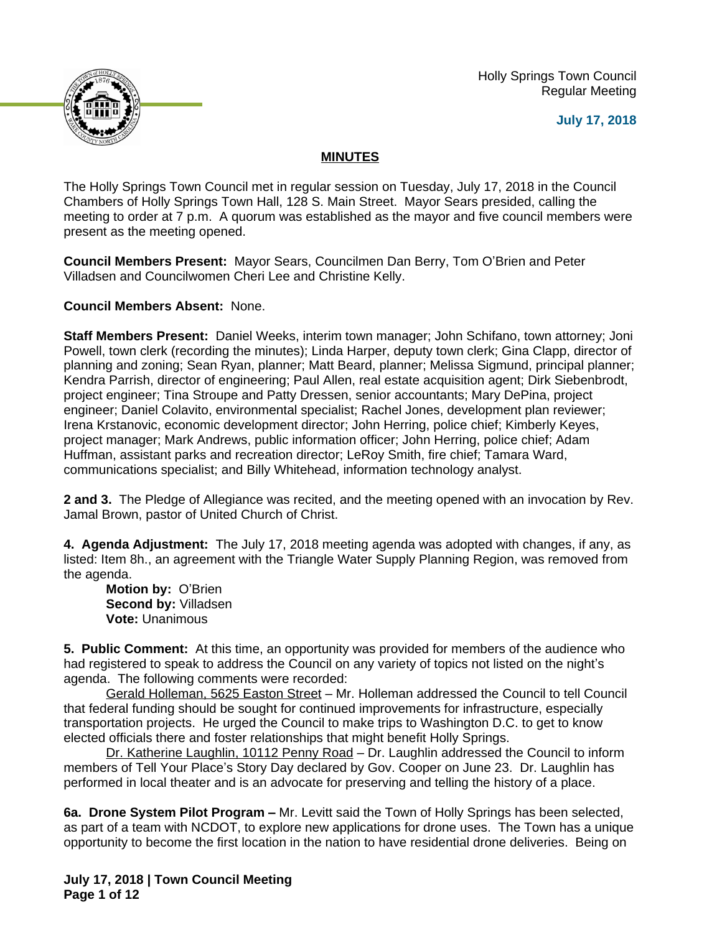Holly Springs Town Council Regular Meeting





## **MINUTES**

The Holly Springs Town Council met in regular session on Tuesday, July 17, 2018 in the Council Chambers of Holly Springs Town Hall, 128 S. Main Street. Mayor Sears presided, calling the meeting to order at 7 p.m. A quorum was established as the mayor and five council members were present as the meeting opened.

**Council Members Present:** Mayor Sears, Councilmen Dan Berry, Tom O'Brien and Peter Villadsen and Councilwomen Cheri Lee and Christine Kelly.

**Council Members Absent:** None.

**Staff Members Present:** Daniel Weeks, interim town manager; John Schifano, town attorney; Joni Powell, town clerk (recording the minutes); Linda Harper, deputy town clerk; Gina Clapp, director of planning and zoning; Sean Ryan, planner; Matt Beard, planner; Melissa Sigmund, principal planner; Kendra Parrish, director of engineering; Paul Allen, real estate acquisition agent; Dirk Siebenbrodt, project engineer; Tina Stroupe and Patty Dressen, senior accountants; Mary DePina, project engineer; Daniel Colavito, environmental specialist; Rachel Jones, development plan reviewer; Irena Krstanovic, economic development director; John Herring, police chief; Kimberly Keyes, project manager; Mark Andrews, public information officer; John Herring, police chief; Adam Huffman, assistant parks and recreation director; LeRoy Smith, fire chief; Tamara Ward, communications specialist; and Billy Whitehead, information technology analyst.

**2 and 3.** The Pledge of Allegiance was recited, and the meeting opened with an invocation by Rev. Jamal Brown, pastor of United Church of Christ.

**4. Agenda Adjustment:** The July 17, 2018 meeting agenda was adopted with changes, if any, as listed: Item 8h., an agreement with the Triangle Water Supply Planning Region, was removed from the agenda.

**Motion by:** O'Brien **Second by:** Villadsen **Vote:** Unanimous

**5. Public Comment:** At this time, an opportunity was provided for members of the audience who had registered to speak to address the Council on any variety of topics not listed on the night's agenda. The following comments were recorded:

Gerald Holleman, 5625 Easton Street – Mr. Holleman addressed the Council to tell Council that federal funding should be sought for continued improvements for infrastructure, especially transportation projects. He urged the Council to make trips to Washington D.C. to get to know elected officials there and foster relationships that might benefit Holly Springs.

Dr. Katherine Laughlin, 10112 Penny Road – Dr. Laughlin addressed the Council to inform members of Tell Your Place's Story Day declared by Gov. Cooper on June 23. Dr. Laughlin has performed in local theater and is an advocate for preserving and telling the history of a place.

**6a. Drone System Pilot Program –** Mr. Levitt said the Town of Holly Springs has been selected, as part of a team with NCDOT, to explore new applications for drone uses. The Town has a unique opportunity to become the first location in the nation to have residential drone deliveries. Being on

**July 17, 2018 | Town Council Meeting Page 1 of 12**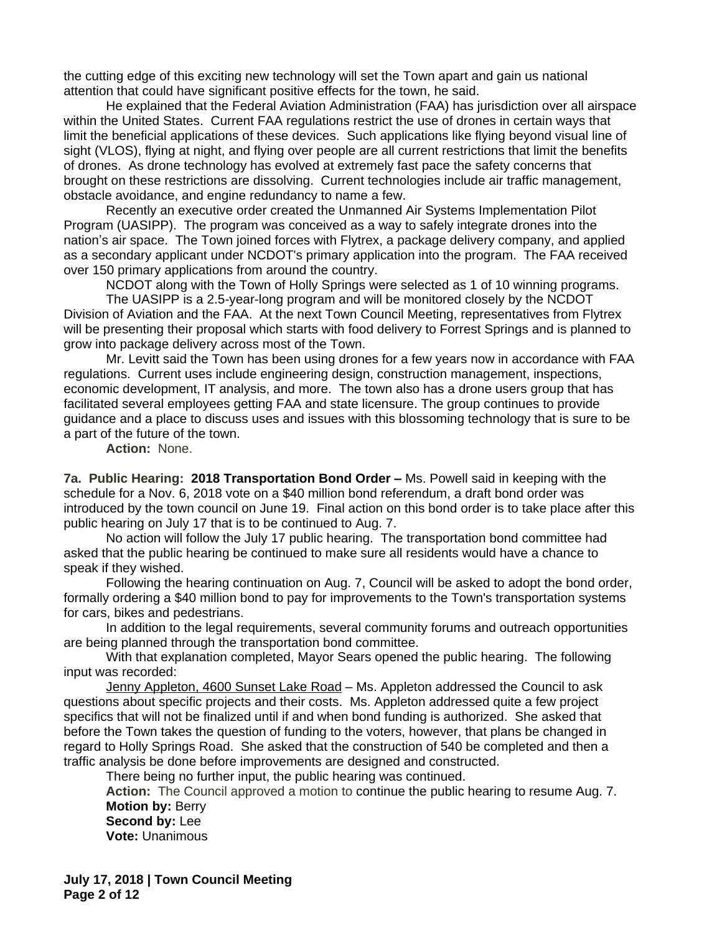the cutting edge of this exciting new technology will set the Town apart and gain us national attention that could have significant positive effects for the town, he said.

He explained that the Federal Aviation Administration (FAA) has jurisdiction over all airspace within the United States. Current FAA regulations restrict the use of drones in certain ways that limit the beneficial applications of these devices. Such applications like flying beyond visual line of sight (VLOS), flying at night, and flying over people are all current restrictions that limit the benefits of drones. As drone technology has evolved at extremely fast pace the safety concerns that brought on these restrictions are dissolving. Current technologies include air traffic management, obstacle avoidance, and engine redundancy to name a few.

Recently an executive order created the Unmanned Air Systems Implementation Pilot Program (UASIPP). The program was conceived as a way to safely integrate drones into the nation's air space. The Town joined forces with Flytrex, a package delivery company, and applied as a secondary applicant under NCDOT's primary application into the program. The FAA received over 150 primary applications from around the country.

NCDOT along with the Town of Holly Springs were selected as 1 of 10 winning programs.

The UASIPP is a 2.5-year-long program and will be monitored closely by the NCDOT Division of Aviation and the FAA. At the next Town Council Meeting, representatives from Flytrex will be presenting their proposal which starts with food delivery to Forrest Springs and is planned to grow into package delivery across most of the Town.

Mr. Levitt said the Town has been using drones for a few years now in accordance with FAA regulations. Current uses include engineering design, construction management, inspections, economic development, IT analysis, and more. The town also has a drone users group that has facilitated several employees getting FAA and state licensure. The group continues to provide guidance and a place to discuss uses and issues with this blossoming technology that is sure to be a part of the future of the town.

**Action:** None.

**7a. Public Hearing: 2018 Transportation Bond Order –** Ms. Powell said in keeping with the schedule for a Nov. 6, 2018 vote on a \$40 million bond referendum, a draft bond order was introduced by the town council on June 19. Final action on this bond order is to take place after this public hearing on July 17 that is to be continued to Aug. 7.

No action will follow the July 17 public hearing. The transportation bond committee had asked that the public hearing be continued to make sure all residents would have a chance to speak if they wished.

Following the hearing continuation on Aug. 7, Council will be asked to adopt the bond order, formally ordering a \$40 million bond to pay for improvements to the Town's transportation systems for cars, bikes and pedestrians.

In addition to the legal requirements, several community forums and outreach opportunities are being planned through the transportation bond committee.

With that explanation completed, Mayor Sears opened the public hearing. The following input was recorded:

Jenny Appleton, 4600 Sunset Lake Road – Ms. Appleton addressed the Council to ask questions about specific projects and their costs. Ms. Appleton addressed quite a few project specifics that will not be finalized until if and when bond funding is authorized. She asked that before the Town takes the question of funding to the voters, however, that plans be changed in regard to Holly Springs Road. She asked that the construction of 540 be completed and then a traffic analysis be done before improvements are designed and constructed.

There being no further input, the public hearing was continued.

**Action:** The Council approved a motion to continue the public hearing to resume Aug. 7. **Motion by:** Berry

**Second by:** Lee **Vote:** Unanimous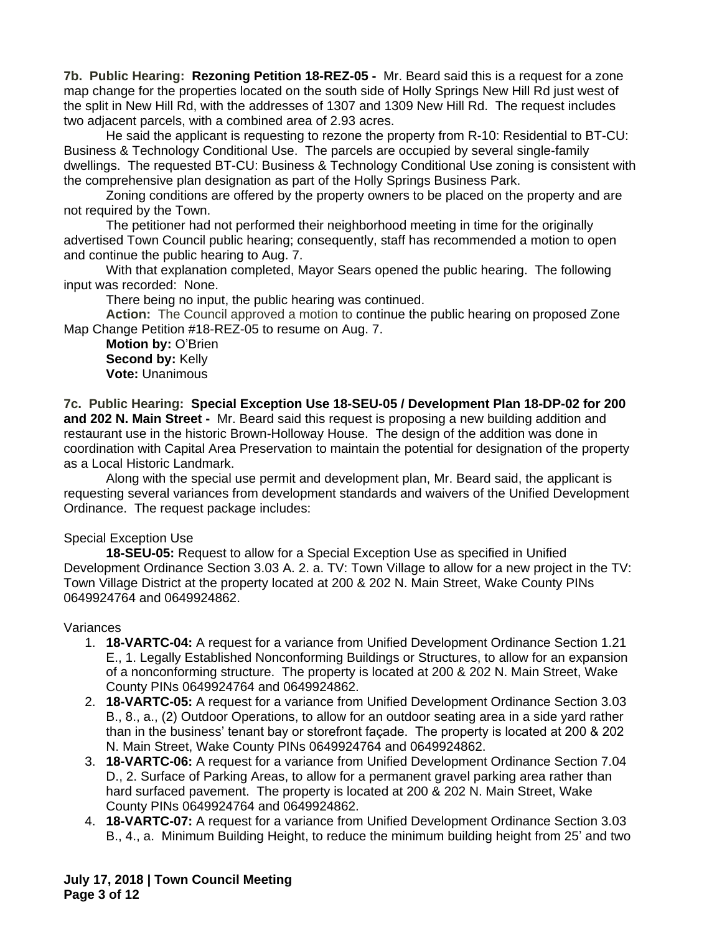**7b. Public Hearing: Rezoning Petition 18-REZ-05 -** Mr. Beard said this is a request for a zone map change for the properties located on the south side of Holly Springs New Hill Rd just west of the split in New Hill Rd, with the addresses of 1307 and 1309 New Hill Rd. The request includes two adjacent parcels, with a combined area of 2.93 acres.

He said the applicant is requesting to rezone the property from R-10: Residential to BT-CU: Business & Technology Conditional Use. The parcels are occupied by several single-family dwellings. The requested BT-CU: Business & Technology Conditional Use zoning is consistent with the comprehensive plan designation as part of the Holly Springs Business Park.

Zoning conditions are offered by the property owners to be placed on the property and are not required by the Town.

The petitioner had not performed their neighborhood meeting in time for the originally advertised Town Council public hearing; consequently, staff has recommended a motion to open and continue the public hearing to Aug. 7.

With that explanation completed, Mayor Sears opened the public hearing. The following input was recorded: None.

There being no input, the public hearing was continued.

**Action:** The Council approved a motion to continue the public hearing on proposed Zone Map Change Petition #18-REZ-05 to resume on Aug. 7.

**Motion by:** O'Brien **Second by:** Kelly **Vote:** Unanimous

**7c. Public Hearing: Special Exception Use 18-SEU-05 / Development Plan 18-DP-02 for 200 and 202 N. Main Street -** Mr. Beard said this request is proposing a new building addition and restaurant use in the historic Brown-Holloway House. The design of the addition was done in coordination with Capital Area Preservation to maintain the potential for designation of the property as a Local Historic Landmark.

Along with the special use permit and development plan, Mr. Beard said, the applicant is requesting several variances from development standards and waivers of the Unified Development Ordinance. The request package includes:

## Special Exception Use

**18-SEU-05:** Request to allow for a Special Exception Use as specified in Unified Development Ordinance Section 3.03 A. 2. a. TV: Town Village to allow for a new project in the TV: Town Village District at the property located at 200 & 202 N. Main Street, Wake County PINs 0649924764 and 0649924862.

#### Variances

- 1. **18-VARTC-04:** A request for a variance from Unified Development Ordinance Section 1.21 E., 1. Legally Established Nonconforming Buildings or Structures, to allow for an expansion of a nonconforming structure. The property is located at 200 & 202 N. Main Street, Wake County PINs 0649924764 and 0649924862.
- 2. **18-VARTC-05:** A request for a variance from Unified Development Ordinance Section 3.03 B., 8., a., (2) Outdoor Operations, to allow for an outdoor seating area in a side yard rather than in the business' tenant bay or storefront façade. The property is located at 200 & 202 N. Main Street, Wake County PINs 0649924764 and 0649924862.
- 3. **18-VARTC-06:** A request for a variance from Unified Development Ordinance Section 7.04 D., 2. Surface of Parking Areas, to allow for a permanent gravel parking area rather than hard surfaced pavement. The property is located at 200 & 202 N. Main Street, Wake County PINs 0649924764 and 0649924862.
- 4. **18-VARTC-07:** A request for a variance from Unified Development Ordinance Section 3.03 B., 4., a. Minimum Building Height, to reduce the minimum building height from 25' and two

**July 17, 2018 | Town Council Meeting Page 3 of 12**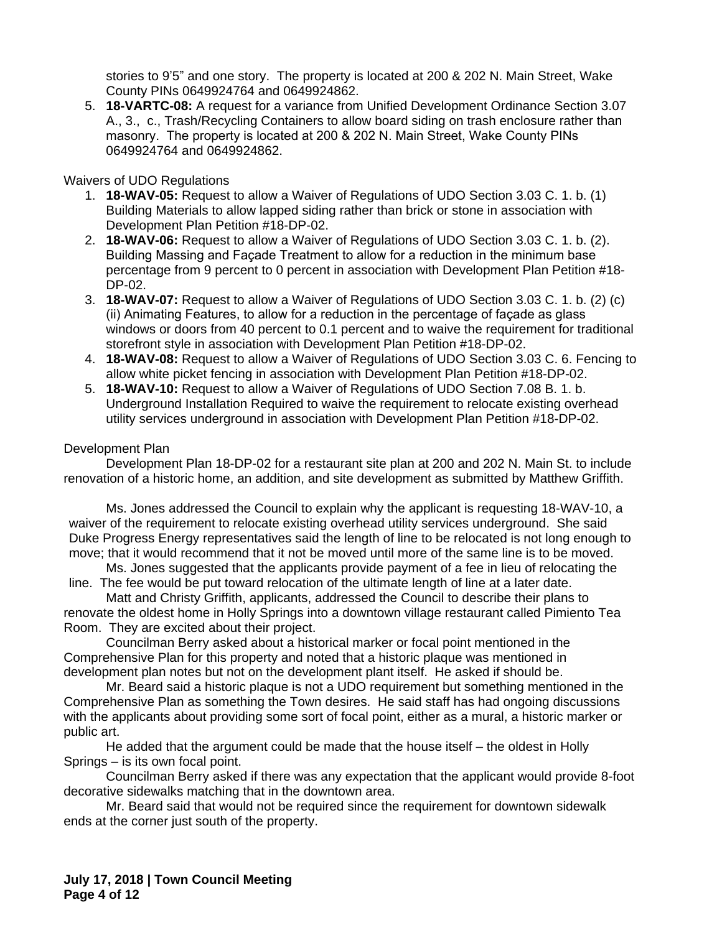stories to 9'5" and one story. The property is located at 200 & 202 N. Main Street, Wake County PINs 0649924764 and 0649924862.

5. **18-VARTC-08:** A request for a variance from Unified Development Ordinance Section 3.07 A., 3., c., Trash/Recycling Containers to allow board siding on trash enclosure rather than masonry. The property is located at 200 & 202 N. Main Street, Wake County PINs 0649924764 and 0649924862.

#### Waivers of UDO Regulations

- 1. **18-WAV-05:** Request to allow a Waiver of Regulations of UDO Section 3.03 C. 1. b. (1) Building Materials to allow lapped siding rather than brick or stone in association with Development Plan Petition #18-DP-02.
- 2. **18-WAV-06:** Request to allow a Waiver of Regulations of UDO Section 3.03 C. 1. b. (2). Building Massing and Façade Treatment to allow for a reduction in the minimum base percentage from 9 percent to 0 percent in association with Development Plan Petition #18- DP-02.
- 3. **18-WAV-07:** Request to allow a Waiver of Regulations of UDO Section 3.03 C. 1. b. (2) (c) (ii) Animating Features, to allow for a reduction in the percentage of façade as glass windows or doors from 40 percent to 0.1 percent and to waive the requirement for traditional storefront style in association with Development Plan Petition #18-DP-02.
- 4. **18-WAV-08:** Request to allow a Waiver of Regulations of UDO Section 3.03 C. 6. Fencing to allow white picket fencing in association with Development Plan Petition #18-DP-02.
- 5. **18-WAV-10:** Request to allow a Waiver of Regulations of UDO Section 7.08 B. 1. b. Underground Installation Required to waive the requirement to relocate existing overhead utility services underground in association with Development Plan Petition #18-DP-02.

### Development Plan

Development Plan 18-DP-02 for a restaurant site plan at 200 and 202 N. Main St. to include renovation of a historic home, an addition, and site development as submitted by Matthew Griffith.

Ms. Jones addressed the Council to explain why the applicant is requesting 18-WAV-10, a waiver of the requirement to relocate existing overhead utility services underground. She said Duke Progress Energy representatives said the length of line to be relocated is not long enough to move; that it would recommend that it not be moved until more of the same line is to be moved.

Ms. Jones suggested that the applicants provide payment of a fee in lieu of relocating the line. The fee would be put toward relocation of the ultimate length of line at a later date.

Matt and Christy Griffith, applicants, addressed the Council to describe their plans to renovate the oldest home in Holly Springs into a downtown village restaurant called Pimiento Tea Room. They are excited about their project.

Councilman Berry asked about a historical marker or focal point mentioned in the Comprehensive Plan for this property and noted that a historic plaque was mentioned in development plan notes but not on the development plant itself. He asked if should be.

Mr. Beard said a historic plaque is not a UDO requirement but something mentioned in the Comprehensive Plan as something the Town desires. He said staff has had ongoing discussions with the applicants about providing some sort of focal point, either as a mural, a historic marker or public art.

He added that the argument could be made that the house itself – the oldest in Holly Springs – is its own focal point.

Councilman Berry asked if there was any expectation that the applicant would provide 8-foot decorative sidewalks matching that in the downtown area.

Mr. Beard said that would not be required since the requirement for downtown sidewalk ends at the corner just south of the property.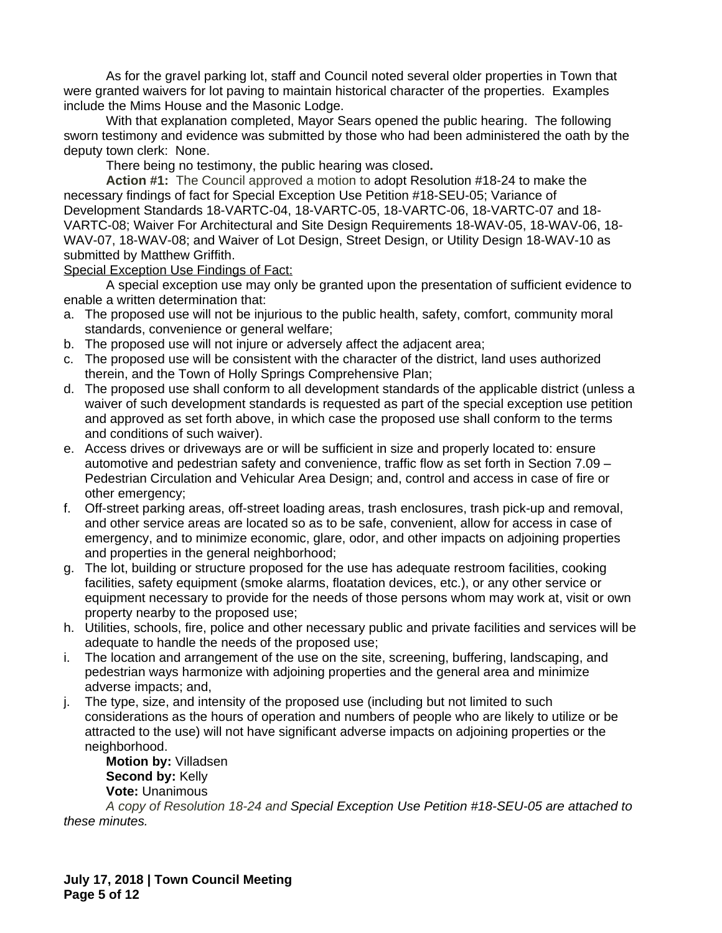As for the gravel parking lot, staff and Council noted several older properties in Town that were granted waivers for lot paving to maintain historical character of the properties. Examples include the Mims House and the Masonic Lodge.

With that explanation completed, Mayor Sears opened the public hearing. The following sworn testimony and evidence was submitted by those who had been administered the oath by the deputy town clerk: None.

There being no testimony, the public hearing was closed**.**

**Action #1:** The Council approved a motion to adopt Resolution #18-24 to make the necessary findings of fact for Special Exception Use Petition #18-SEU-05; Variance of Development Standards 18-VARTC-04, 18-VARTC-05, 18-VARTC-06, 18-VARTC-07 and 18- VARTC-08; Waiver For Architectural and Site Design Requirements 18-WAV-05, 18-WAV-06, 18- WAV-07, 18-WAV-08; and Waiver of Lot Design, Street Design, or Utility Design 18-WAV-10 as submitted by Matthew Griffith.

Special Exception Use Findings of Fact:

A special exception use may only be granted upon the presentation of sufficient evidence to enable a written determination that:

- a. The proposed use will not be injurious to the public health, safety, comfort, community moral standards, convenience or general welfare;
- b. The proposed use will not injure or adversely affect the adjacent area;
- c. The proposed use will be consistent with the character of the district, land uses authorized therein, and the Town of Holly Springs Comprehensive Plan;
- d. The proposed use shall conform to all development standards of the applicable district (unless a waiver of such development standards is requested as part of the special exception use petition and approved as set forth above, in which case the proposed use shall conform to the terms and conditions of such waiver).
- e. Access drives or driveways are or will be sufficient in size and properly located to: ensure automotive and pedestrian safety and convenience, traffic flow as set forth in Section 7.09 – Pedestrian Circulation and Vehicular Area Design; and, control and access in case of fire or other emergency;
- f. Off-street parking areas, off-street loading areas, trash enclosures, trash pick-up and removal, and other service areas are located so as to be safe, convenient, allow for access in case of emergency, and to minimize economic, glare, odor, and other impacts on adjoining properties and properties in the general neighborhood;
- g. The lot, building or structure proposed for the use has adequate restroom facilities, cooking facilities, safety equipment (smoke alarms, floatation devices, etc.), or any other service or equipment necessary to provide for the needs of those persons whom may work at, visit or own property nearby to the proposed use;
- h. Utilities, schools, fire, police and other necessary public and private facilities and services will be adequate to handle the needs of the proposed use;
- i. The location and arrangement of the use on the site, screening, buffering, landscaping, and pedestrian ways harmonize with adjoining properties and the general area and minimize adverse impacts; and,
- j. The type, size, and intensity of the proposed use (including but not limited to such considerations as the hours of operation and numbers of people who are likely to utilize or be attracted to the use) will not have significant adverse impacts on adjoining properties or the neighborhood.

**Motion by:** Villadsen **Second by:** Kelly **Vote:** Unanimous

*A copy of Resolution 18-24 and Special Exception Use Petition #18-SEU-05 are attached to these minutes.*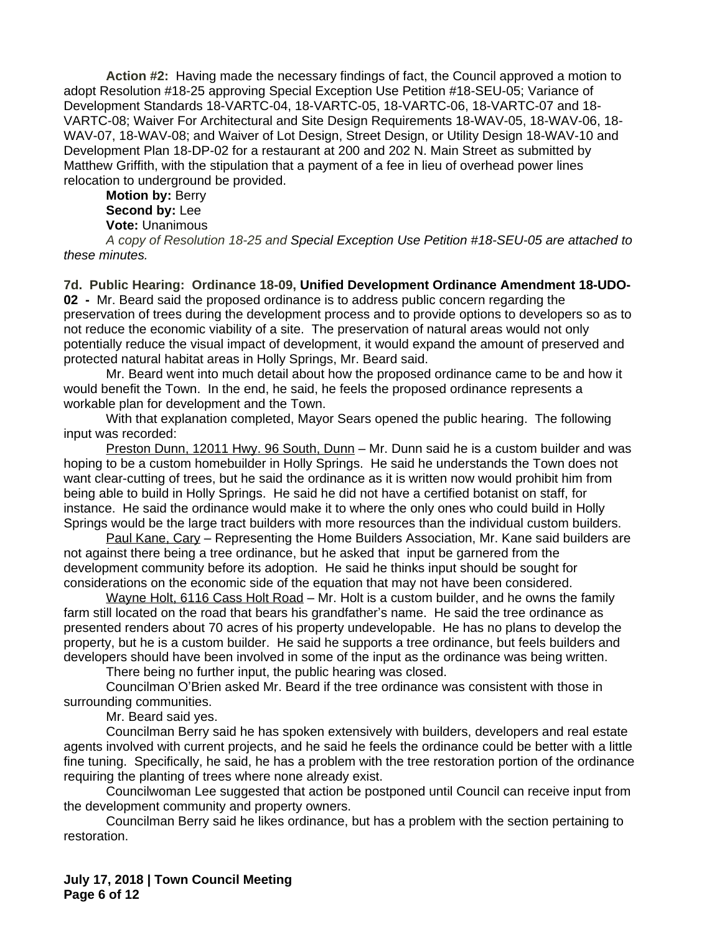**Action #2:** Having made the necessary findings of fact, the Council approved a motion to adopt Resolution #18-25 approving Special Exception Use Petition #18-SEU-05; Variance of Development Standards 18-VARTC-04, 18-VARTC-05, 18-VARTC-06, 18-VARTC-07 and 18- VARTC-08; Waiver For Architectural and Site Design Requirements 18-WAV-05, 18-WAV-06, 18- WAV-07, 18-WAV-08; and Waiver of Lot Design, Street Design, or Utility Design 18-WAV-10 and Development Plan 18-DP-02 for a restaurant at 200 and 202 N. Main Street as submitted by Matthew Griffith, with the stipulation that a payment of a fee in lieu of overhead power lines relocation to underground be provided.

## **Motion by:** Berry **Second by:** Lee **Vote:** Unanimous

*A copy of Resolution 18-25 and Special Exception Use Petition #18-SEU-05 are attached to these minutes.*

**7d. Public Hearing: Ordinance 18-09, Unified Development Ordinance Amendment 18-UDO-02 -** Mr. Beard said the proposed ordinance is to address public concern regarding the preservation of trees during the development process and to provide options to developers so as to not reduce the economic viability of a site. The preservation of natural areas would not only potentially reduce the visual impact of development, it would expand the amount of preserved and protected natural habitat areas in Holly Springs, Mr. Beard said.

Mr. Beard went into much detail about how the proposed ordinance came to be and how it would benefit the Town. In the end, he said, he feels the proposed ordinance represents a workable plan for development and the Town.

With that explanation completed, Mayor Sears opened the public hearing. The following input was recorded:

Preston Dunn, 12011 Hwy. 96 South, Dunn – Mr. Dunn said he is a custom builder and was hoping to be a custom homebuilder in Holly Springs. He said he understands the Town does not want clear-cutting of trees, but he said the ordinance as it is written now would prohibit him from being able to build in Holly Springs. He said he did not have a certified botanist on staff, for instance. He said the ordinance would make it to where the only ones who could build in Holly Springs would be the large tract builders with more resources than the individual custom builders.

Paul Kane, Cary - Representing the Home Builders Association, Mr. Kane said builders are not against there being a tree ordinance, but he asked that input be garnered from the development community before its adoption. He said he thinks input should be sought for considerations on the economic side of the equation that may not have been considered.

Wayne Holt, 6116 Cass Holt Road – Mr. Holt is a custom builder, and he owns the family farm still located on the road that bears his grandfather's name. He said the tree ordinance as presented renders about 70 acres of his property undevelopable. He has no plans to develop the property, but he is a custom builder. He said he supports a tree ordinance, but feels builders and developers should have been involved in some of the input as the ordinance was being written.

There being no further input, the public hearing was closed.

Councilman O'Brien asked Mr. Beard if the tree ordinance was consistent with those in surrounding communities.

Mr. Beard said yes.

Councilman Berry said he has spoken extensively with builders, developers and real estate agents involved with current projects, and he said he feels the ordinance could be better with a little fine tuning. Specifically, he said, he has a problem with the tree restoration portion of the ordinance requiring the planting of trees where none already exist.

Councilwoman Lee suggested that action be postponed until Council can receive input from the development community and property owners.

Councilman Berry said he likes ordinance, but has a problem with the section pertaining to restoration.

**July 17, 2018 | Town Council Meeting Page 6 of 12**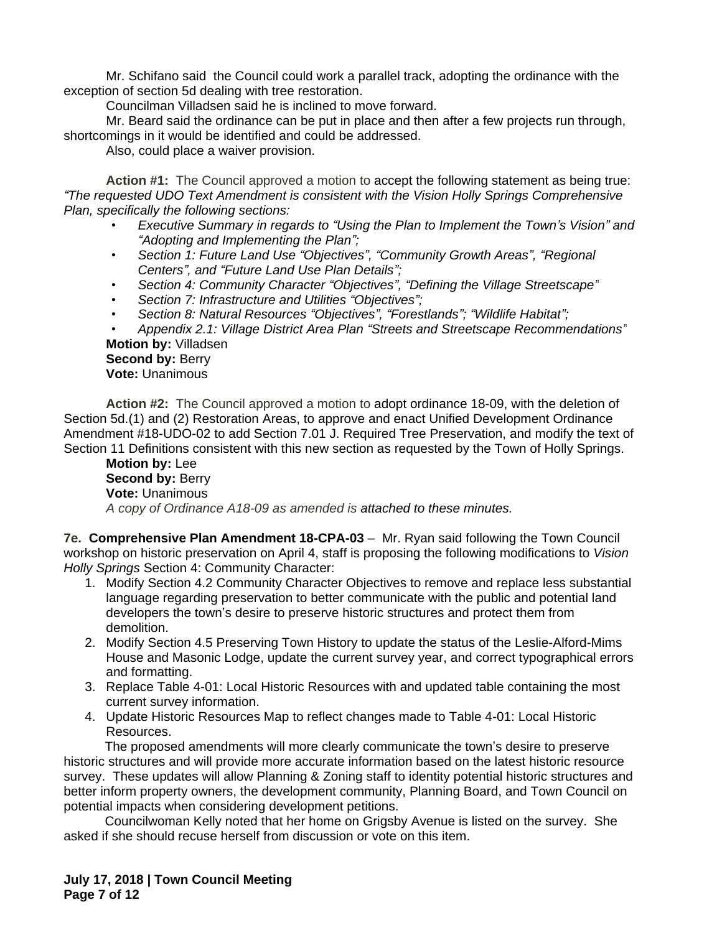Mr. Schifano said the Council could work a parallel track, adopting the ordinance with the exception of section 5d dealing with tree restoration.

Councilman Villadsen said he is inclined to move forward.

Mr. Beard said the ordinance can be put in place and then after a few projects run through, shortcomings in it would be identified and could be addressed.

Also, could place a waiver provision.

**Action #1:** The Council approved a motion to accept the following statement as being true: *"The requested UDO Text Amendment is consistent with the Vision Holly Springs Comprehensive Plan, specifically the following sections:* 

- *• Executive Summary in regards to "Using the Plan to Implement the Town's Vision" and "Adopting and Implementing the Plan";*
- *• Section 1: Future Land Use "Objectives", "Community Growth Areas", "Regional Centers", and "Future Land Use Plan Details";*
- *• Section 4: Community Character "Objectives", "Defining the Village Streetscape"*
- *• Section 7: Infrastructure and Utilities "Objectives";*
- *• Section 8: Natural Resources "Objectives", "Forestlands"; "Wildlife Habitat";*
- *• Appendix 2.1: Village District Area Plan "Streets and Streetscape Recommendations"* **Motion by:** Villadsen

# **Second by: Berry Vote:** Unanimous

**Action #2:** The Council approved a motion to adopt ordinance 18-09, with the deletion of Section 5d.(1) and (2) Restoration Areas, to approve and enact Unified Development Ordinance Amendment #18-UDO-02 to add Section 7.01 J. Required Tree Preservation, and modify the text of Section 11 Definitions consistent with this new section as requested by the Town of Holly Springs.

**Motion by:** Lee **Second by:** Berry **Vote:** Unanimous *A copy of Ordinance A18-09 as amended is attached to these minutes.*

**7e. Comprehensive Plan Amendment 18-CPA-03** – Mr. Ryan said following the Town Council workshop on historic preservation on April 4, staff is proposing the following modifications to *Vision Holly Springs* Section 4: Community Character:

- 1. Modify Section 4.2 Community Character Objectives to remove and replace less substantial language regarding preservation to better communicate with the public and potential land developers the town's desire to preserve historic structures and protect them from demolition.
- 2. Modify Section 4.5 Preserving Town History to update the status of the Leslie-Alford-Mims House and Masonic Lodge, update the current survey year, and correct typographical errors and formatting.
- 3. Replace Table 4-01: Local Historic Resources with and updated table containing the most current survey information.
- 4. Update Historic Resources Map to reflect changes made to Table 4-01: Local Historic Resources.

The proposed amendments will more clearly communicate the town's desire to preserve historic structures and will provide more accurate information based on the latest historic resource survey. These updates will allow Planning & Zoning staff to identity potential historic structures and better inform property owners, the development community, Planning Board, and Town Council on potential impacts when considering development petitions.

Councilwoman Kelly noted that her home on Grigsby Avenue is listed on the survey. She asked if she should recuse herself from discussion or vote on this item.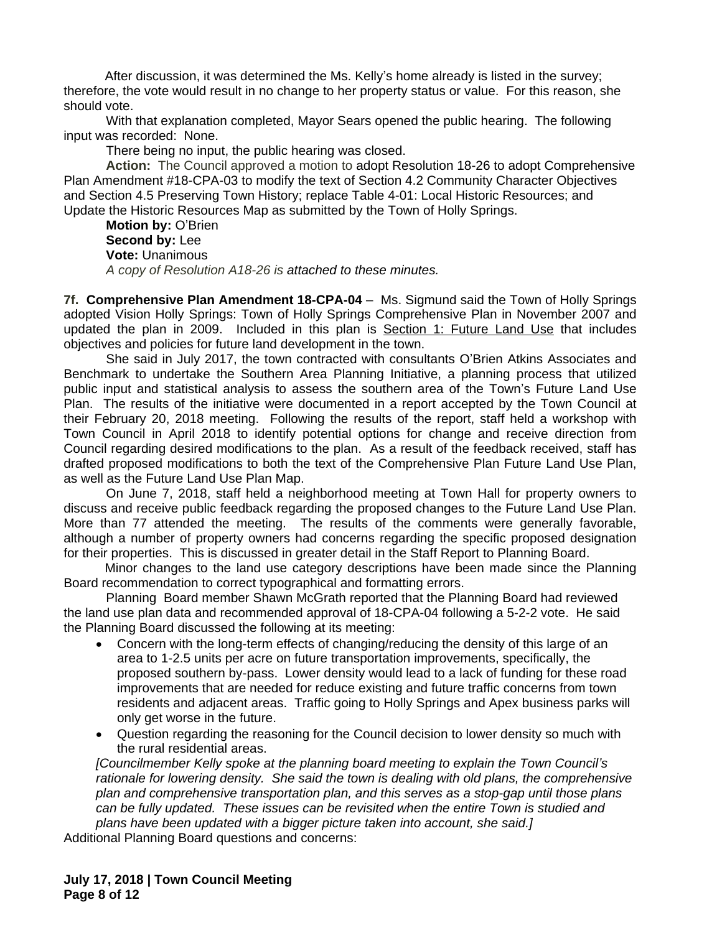After discussion, it was determined the Ms. Kelly's home already is listed in the survey; therefore, the vote would result in no change to her property status or value. For this reason, she should vote.

With that explanation completed, Mayor Sears opened the public hearing. The following input was recorded: None.

There being no input, the public hearing was closed.

**Action:** The Council approved a motion to adopt Resolution 18-26 to adopt Comprehensive Plan Amendment #18-CPA-03 to modify the text of Section 4.2 Community Character Objectives and Section 4.5 Preserving Town History; replace Table 4-01: Local Historic Resources; and Update the Historic Resources Map as submitted by the Town of Holly Springs.

**Motion by:** O'Brien **Second by:** Lee **Vote:** Unanimous *A copy of Resolution A18-26 is attached to these minutes.*

**7f. Comprehensive Plan Amendment 18-CPA-04** – Ms. Sigmund said the Town of Holly Springs adopted Vision Holly Springs: Town of Holly Springs Comprehensive Plan in November 2007 and updated the plan in 2009. Included in this plan is Section 1: Future Land Use that includes objectives and policies for future land development in the town.

She said in July 2017, the town contracted with consultants O'Brien Atkins Associates and Benchmark to undertake the Southern Area Planning Initiative, a planning process that utilized public input and statistical analysis to assess the southern area of the Town's Future Land Use Plan. The results of the initiative were documented in a report accepted by the Town Council at their February 20, 2018 meeting. Following the results of the report, staff held a workshop with Town Council in April 2018 to identify potential options for change and receive direction from Council regarding desired modifications to the plan. As a result of the feedback received, staff has drafted proposed modifications to both the text of the Comprehensive Plan Future Land Use Plan, as well as the Future Land Use Plan Map.

On June 7, 2018, staff held a neighborhood meeting at Town Hall for property owners to discuss and receive public feedback regarding the proposed changes to the Future Land Use Plan. More than 77 attended the meeting. The results of the comments were generally favorable, although a number of property owners had concerns regarding the specific proposed designation for their properties. This is discussed in greater detail in the Staff Report to Planning Board.

Minor changes to the land use category descriptions have been made since the Planning Board recommendation to correct typographical and formatting errors.

Planning Board member Shawn McGrath reported that the Planning Board had reviewed the land use plan data and recommended approval of 18-CPA-04 following a 5-2-2 vote. He said the Planning Board discussed the following at its meeting:

- Concern with the long-term effects of changing/reducing the density of this large of an area to 1-2.5 units per acre on future transportation improvements, specifically, the proposed southern by-pass. Lower density would lead to a lack of funding for these road improvements that are needed for reduce existing and future traffic concerns from town residents and adjacent areas. Traffic going to Holly Springs and Apex business parks will only get worse in the future.
- Question regarding the reasoning for the Council decision to lower density so much with the rural residential areas.

*[Councilmember Kelly spoke at the planning board meeting to explain the Town Council's*  rationale for lowering density. She said the town is dealing with old plans, the comprehensive *plan and comprehensive transportation plan, and this serves as a stop-gap until those plans can be fully updated. These issues can be revisited when the entire Town is studied and plans have been updated with a bigger picture taken into account, she said.]*

Additional Planning Board questions and concerns: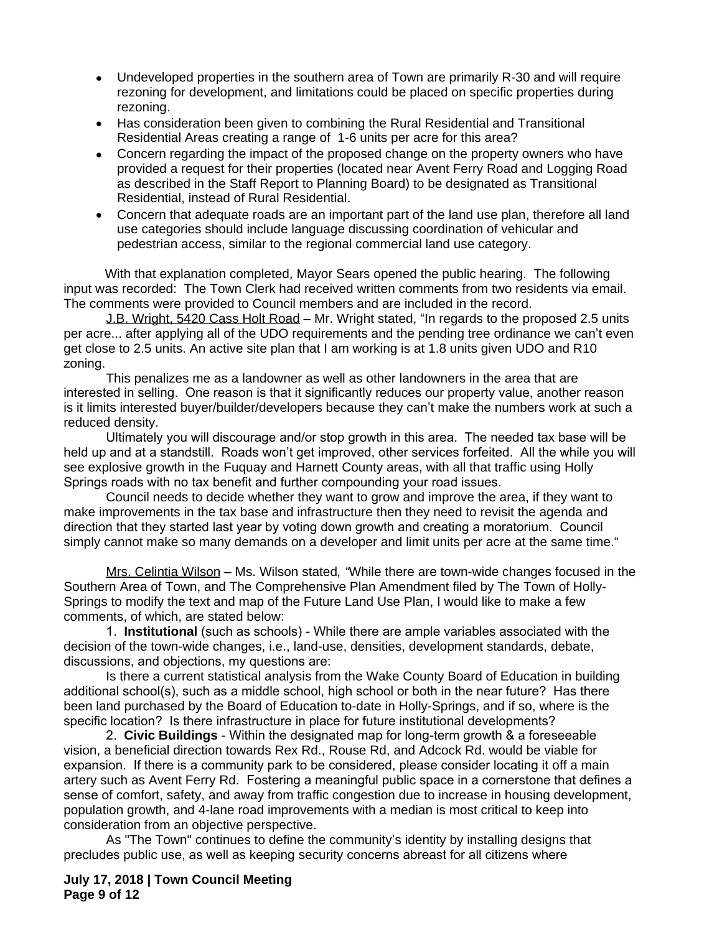- Undeveloped properties in the southern area of Town are primarily R-30 and will require rezoning for development, and limitations could be placed on specific properties during rezoning.
- Has consideration been given to combining the Rural Residential and Transitional Residential Areas creating a range of 1-6 units per acre for this area?
- Concern regarding the impact of the proposed change on the property owners who have provided a request for their properties (located near Avent Ferry Road and Logging Road as described in the Staff Report to Planning Board) to be designated as Transitional Residential, instead of Rural Residential.
- Concern that adequate roads are an important part of the land use plan, therefore all land use categories should include language discussing coordination of vehicular and pedestrian access, similar to the regional commercial land use category.

With that explanation completed, Mayor Sears opened the public hearing. The following input was recorded: The Town Clerk had received written comments from two residents via email. The comments were provided to Council members and are included in the record.

J.B. Wright, 5420 Cass Holt Road - Mr. Wright stated, "In regards to the proposed 2.5 units per acre... after applying all of the UDO requirements and the pending tree ordinance we can't even get close to 2.5 units. An active site plan that I am working is at 1.8 units given UDO and R10 zoning.

This penalizes me as a landowner as well as other landowners in the area that are interested in selling. One reason is that it significantly reduces our property value, another reason is it limits interested buyer/builder/developers because they can't make the numbers work at such a reduced density.

Ultimately you will discourage and/or stop growth in this area. The needed tax base will be held up and at a standstill. Roads won't get improved, other services forfeited. All the while you will see explosive growth in the Fuquay and Harnett County areas, with all that traffic using Holly Springs roads with no tax benefit and further compounding your road issues.

Council needs to decide whether they want to grow and improve the area, if they want to make improvements in the tax base and infrastructure then they need to revisit the agenda and direction that they started last year by voting down growth and creating a moratorium. Council simply cannot make so many demands on a developer and limit units per acre at the same time."

Mrs. Celintia Wilson – Ms. Wilson stated*, "*While there are town-wide changes focused in the Southern Area of Town, and The Comprehensive Plan Amendment filed by The Town of Holly-Springs to modify the text and map of the Future Land Use Plan, I would like to make a few comments, of which, are stated below:

1. **Institutional** (such as schools) - While there are ample variables associated with the decision of the town-wide changes, i.e., land-use, densities, development standards, debate, discussions, and objections, my questions are:

Is there a current statistical analysis from the Wake County Board of Education in building additional school(s), such as a middle school, high school or both in the near future? Has there been land purchased by the Board of Education to-date in Holly-Springs, and if so, where is the specific location? Is there infrastructure in place for future institutional developments?

2. **Civic Buildings** - Within the designated map for long-term growth & a foreseeable vision, a beneficial direction towards Rex Rd., Rouse Rd, and Adcock Rd. would be viable for expansion. If there is a community park to be considered, please consider locating it off a main artery such as Avent Ferry Rd. Fostering a meaningful public space in a cornerstone that defines a sense of comfort, safety, and away from traffic congestion due to increase in housing development, population growth, and 4-lane road improvements with a median is most critical to keep into consideration from an objective perspective.

As "The Town" continues to define the community's identity by installing designs that precludes public use, as well as keeping security concerns abreast for all citizens where

**July 17, 2018 | Town Council Meeting Page 9 of 12**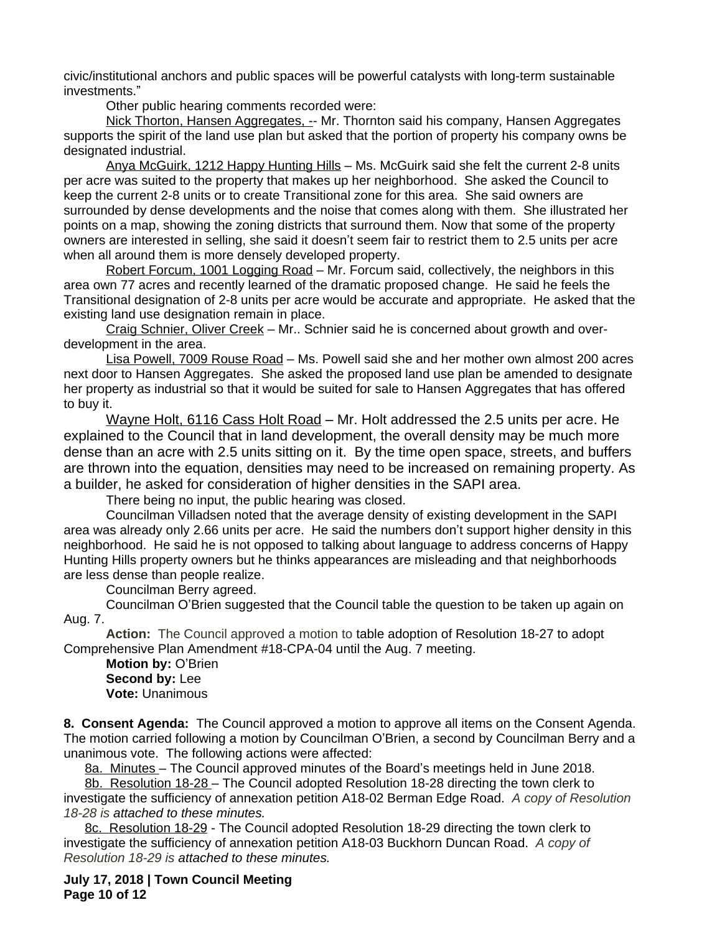civic/institutional anchors and public spaces will be powerful catalysts with long-term sustainable investments."

Other public hearing comments recorded were:

Nick Thorton, Hansen Aggregates, -- Mr. Thornton said his company, Hansen Aggregates supports the spirit of the land use plan but asked that the portion of property his company owns be designated industrial.

Anya McGuirk, 1212 Happy Hunting Hills – Ms. McGuirk said she felt the current 2-8 units per acre was suited to the property that makes up her neighborhood. She asked the Council to keep the current 2-8 units or to create Transitional zone for this area. She said owners are surrounded by dense developments and the noise that comes along with them. She illustrated her points on a map, showing the zoning districts that surround them. Now that some of the property owners are interested in selling, she said it doesn't seem fair to restrict them to 2.5 units per acre when all around them is more densely developed property.

Robert Forcum, 1001 Logging Road – Mr. Forcum said, collectively, the neighbors in this area own 77 acres and recently learned of the dramatic proposed change. He said he feels the Transitional designation of 2-8 units per acre would be accurate and appropriate. He asked that the existing land use designation remain in place.

Craig Schnier, Oliver Creek – Mr.. Schnier said he is concerned about growth and overdevelopment in the area.

Lisa Powell, 7009 Rouse Road – Ms. Powell said she and her mother own almost 200 acres next door to Hansen Aggregates. She asked the proposed land use plan be amended to designate her property as industrial so that it would be suited for sale to Hansen Aggregates that has offered to buy it.

Wayne Holt, 6116 Cass Holt Road – Mr. Holt addressed the 2.5 units per acre. He explained to the Council that in land development, the overall density may be much more dense than an acre with 2.5 units sitting on it. By the time open space, streets, and buffers are thrown into the equation, densities may need to be increased on remaining property. As a builder, he asked for consideration of higher densities in the SAPI area.

There being no input, the public hearing was closed.

Councilman Villadsen noted that the average density of existing development in the SAPI area was already only 2.66 units per acre. He said the numbers don't support higher density in this neighborhood. He said he is not opposed to talking about language to address concerns of Happy Hunting Hills property owners but he thinks appearances are misleading and that neighborhoods are less dense than people realize.

Councilman Berry agreed.

Councilman O'Brien suggested that the Council table the question to be taken up again on Aug. 7.

**Action:** The Council approved a motion to table adoption of Resolution 18-27 to adopt Comprehensive Plan Amendment #18-CPA-04 until the Aug. 7 meeting.

**Motion by:** O'Brien **Second by:** Lee **Vote:** Unanimous

**8. Consent Agenda:** The Council approved a motion to approve all items on the Consent Agenda. The motion carried following a motion by Councilman O'Brien, a second by Councilman Berry and a unanimous vote. The following actions were affected:

8a. Minutes – The Council approved minutes of the Board's meetings held in June 2018.

8b. Resolution 18-28 – The Council adopted Resolution 18-28 directing the town clerk to investigate the sufficiency of annexation petition A18-02 Berman Edge Road. *A copy of Resolution 18-28 is attached to these minutes.*

8c. Resolution 18-29 - The Council adopted Resolution 18-29 directing the town clerk to investigate the sufficiency of annexation petition A18-03 Buckhorn Duncan Road. *A copy of Resolution 18-29 is attached to these minutes.*

**July 17, 2018 | Town Council Meeting Page 10 of 12**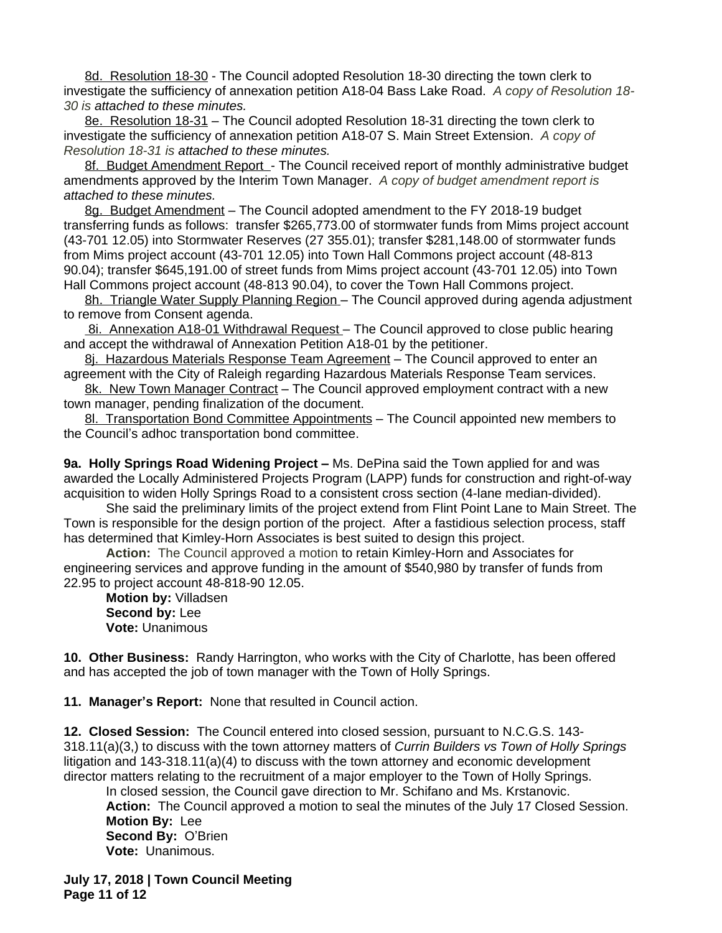8d. Resolution 18-30 - The Council adopted Resolution 18-30 directing the town clerk to investigate the sufficiency of annexation petition A18-04 Bass Lake Road.*A copy of Resolution 18- 30 is attached to these minutes.*

8e. Resolution 18-31 – The Council adopted Resolution 18-31 directing the town clerk to investigate the sufficiency of annexation petition A18-07 S. Main Street Extension. *A copy of Resolution 18-31 is attached to these minutes.*

8f. Budget Amendment Report - The Council received report of monthly administrative budget amendments approved by the Interim Town Manager. *A copy of budget amendment report is attached to these minutes.*

8g. Budget Amendment – The Council adopted amendment to the FY 2018-19 budget transferring funds as follows: transfer \$265,773.00 of stormwater funds from Mims project account (43-701 12.05) into Stormwater Reserves (27 355.01); transfer \$281,148.00 of stormwater funds from Mims project account (43-701 12.05) into Town Hall Commons project account (48-813 90.04); transfer \$645,191.00 of street funds from Mims project account (43-701 12.05) into Town Hall Commons project account (48-813 90.04), to cover the Town Hall Commons project.

8h. Triangle Water Supply Planning Region – The Council approved during agenda adjustment to remove from Consent agenda.

8i. Annexation A18-01 Withdrawal Request - The Council approved to close public hearing and accept the withdrawal of Annexation Petition A18-01 by the petitioner.

8j. Hazardous Materials Response Team Agreement – The Council approved to enter an agreement with the City of Raleigh regarding Hazardous Materials Response Team services.

8k. New Town Manager Contract - The Council approved employment contract with a new town manager, pending finalization of the document.

8l. Transportation Bond Committee Appointments - The Council appointed new members to the Council's adhoc transportation bond committee.

**9a. Holly Springs Road Widening Project –** Ms. DePina said the Town applied for and was awarded the Locally Administered Projects Program (LAPP) funds for construction and right-of-way acquisition to widen Holly Springs Road to a consistent cross section (4-lane median-divided).

She said the preliminary limits of the project extend from Flint Point Lane to Main Street. The Town is responsible for the design portion of the project. After a fastidious selection process, staff has determined that Kimley-Horn Associates is best suited to design this project.

**Action:** The Council approved a motion to retain Kimley-Horn and Associates for engineering services and approve funding in the amount of \$540,980 by transfer of funds from 22.95 to project account 48-818-90 12.05.

**Motion by:** Villadsen **Second by:** Lee **Vote:** Unanimous

**10. Other Business:** Randy Harrington, who works with the City of Charlotte, has been offered and has accepted the job of town manager with the Town of Holly Springs.

**11. Manager's Report:** None that resulted in Council action.

**12. Closed Session:** The Council entered into closed session, pursuant to N.C.G.S. 143- 318.11(a)(3,) to discuss with the town attorney matters of *Currin Builders vs Town of Holly Springs* litigation and 143-318.11(a)(4) to discuss with the town attorney and economic development director matters relating to the recruitment of a major employer to the Town of Holly Springs.

In closed session, the Council gave direction to Mr. Schifano and Ms. Krstanovic. **Action:** The Council approved a motion to seal the minutes of the July 17 Closed Session. **Motion By:** Lee **Second By:** O'Brien **Vote:** Unanimous.

**July 17, 2018 | Town Council Meeting Page 11 of 12**